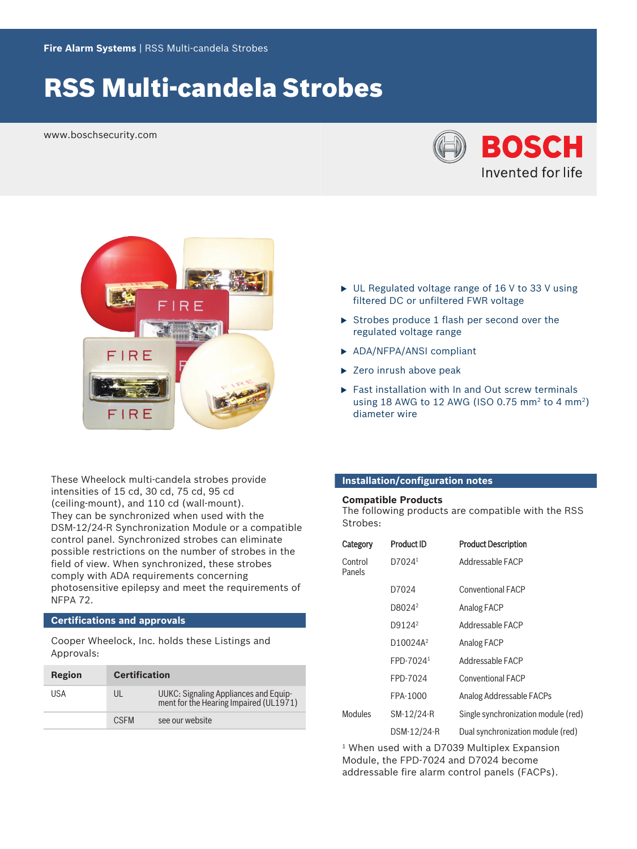# RSS Multi‑candela Strobes

www.boschsecurity.com





These Wheelock multi-candela strobes provide intensities of 15 cd, 30 cd, 75 cd, 95 cd (ceiling‑mount), and 110 cd (wall‑mount). They can be synchronized when used with the DSM-12/24-R Synchronization Module or a compatible control panel. Synchronized strobes can eliminate possible restrictions on the number of strobes in the field of view. When synchronized, these strobes comply with ADA requirements concerning photosensitive epilepsy and meet the requirements of NFPA 72.

# **Certifications and approvals**

Cooper Wheelock, Inc. holds these Listings and Approvals:

| Region | <b>Certification</b> |                                                                                 |
|--------|----------------------|---------------------------------------------------------------------------------|
| USA    | UL                   | UUKC: Signaling Appliances and Equip-<br>ment for the Hearing Impaired (UL1971) |
|        | <b>CSEM</b>          | see our website                                                                 |

- $\triangleright$  UL Regulated voltage range of 16 V to 33 V using filtered DC or unfiltered FWR voltage
- $\triangleright$  Strobes produce 1 flash per second over the regulated voltage range
- $\blacktriangleright$  ADA/NFPA/ANSI compliant
- $\blacktriangleright$  Zero inrush above peak
- $\blacktriangleright$  Fast installation with In and Out screw terminals using 18 AWG to 12 AWG (ISO 0.75 mm<sup>2</sup> to 4 mm<sup>2</sup>) diameter wire

# **Installation/configuration notes**

# **Compatible Products**

The following products are compatible with the RSS Strobes:

| Category          | <b>Product ID</b>     | <b>Product Description</b>          |
|-------------------|-----------------------|-------------------------------------|
| Control<br>Panels | D7024 <sup>1</sup>    | Addressable FACP                    |
|                   | D7024                 | <b>Conventional FACP</b>            |
|                   | D8024 <sup>2</sup>    | Analog FACP                         |
|                   | D9124 <sup>2</sup>    | Addressable FACP                    |
|                   | D10024A <sup>2</sup>  | Analog FACP                         |
|                   | FPD-7024 <sup>1</sup> | Addressable FACP                    |
|                   | FPD-7024              | <b>Conventional FACP</b>            |
|                   | FPA-1000              | Analog Addressable FACPs            |
| Modules           | SM-12/24-R            | Single synchronization module (red) |
|                   | DSM-12/24-R           | Dual synchronization module (red)   |

1 When used with a D7039 Multiplex Expansion Module, the FPD-7024 and D7024 become addressable fire alarm control panels (FACPs).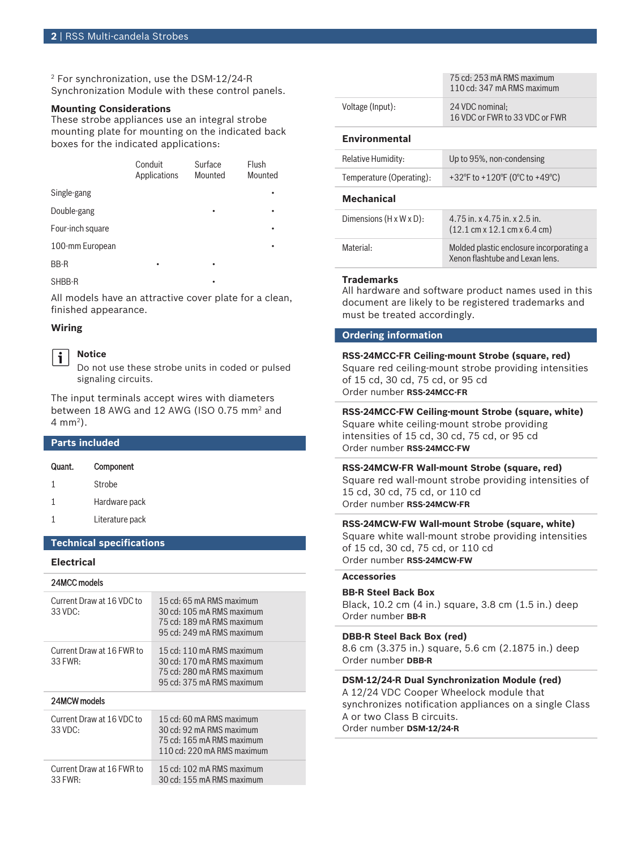2 For synchronization, use the DSM-12/24-R Synchronization Module with these control panels.

# **Mounting Considerations**

These strobe appliances use an integral strobe mounting plate for mounting on the indicated back boxes for the indicated applications:

|                  | Conduit<br>Applications | Surface<br>Mounted | Flush<br>Mounted |
|------------------|-------------------------|--------------------|------------------|
| Single-gang      |                         |                    |                  |
| Double-gang      |                         | ٠                  | ٠                |
| Four-inch square |                         |                    | ٠                |
| 100-mm European  |                         |                    |                  |
| BB-R             | ٠                       | ٠                  |                  |
| SHBB-R           |                         |                    |                  |

All models have an attractive cover plate for a clean, finished appearance.

# **Wiring**

#### **Notice** i

Do not use these strobe units in coded or pulsed signaling circuits.

The input terminals accept wires with diameters between 18 AWG and 12 AWG (ISO 0.75 mm<sup>2</sup> and 4 mm<sup>2</sup> ).

# **Parts included**

# Quant. Component

- 1 Strobe
- 1 Hardware pack
- 1 Literature pack

# **Technical specifications**

# **Electrical**

# 24MCC models

| Current Draw at 16 VDC to<br>$33 \text{ VDC}$ | 15 cd: 65 mA RMS maximum<br>30 cd: 105 mA RMS maximum<br>75 cd: 189 mA RMS maximum<br>95 cd: 249 mA RMS maximum  |
|-----------------------------------------------|------------------------------------------------------------------------------------------------------------------|
| Current Draw at 16 FWR to<br>$33$ FWR:        | 15 cd: 110 mA RMS maximum<br>30 cd: 170 mA RMS maximum<br>75 cd: 280 mA RMS maximum<br>95 cd: 375 mA RMS maximum |
| 24MCW models                                  |                                                                                                                  |
| Current Draw at 16 VDC to<br>$33 \text{ VDC}$ | 15 cd: 60 mA RMS maximum<br>30 cd: 92 mA RMS maximum<br>75 cd: 165 mA RMS maximum<br>110 cd: 220 mA RMS maximum  |
| Current Draw at 16 FWR to<br>$33$ FWR:        | 15 cd: 102 mA RMS maximum<br>30 cd: 155 mA RMS maximum                                                           |

|                                      | 110 cd: 347 mA RMS maximum                                                                        |
|--------------------------------------|---------------------------------------------------------------------------------------------------|
| Voltage (Input):                     | 24 VDC nominal:<br>16 VDC or FWR to 33 VDC or FWR                                                 |
| <b>Environmental</b>                 |                                                                                                   |
| Relative Humidity:                   | Up to 95%, non-condensing                                                                         |
| Temperature (Operating):             | +32°F to +120°F (0°C to +49°C)                                                                    |
| <b>Mechanical</b>                    |                                                                                                   |
| Dimensions $(H \times W \times D)$ : | 4.75 in. x 4.75 in. x 2.5 in.<br>$(12.1 \text{ cm} \times 12.1 \text{ cm} \times 6.4 \text{ cm})$ |
| Material:                            | Molded plastic enclosure incorporating a<br>Xenon flashtube and Lexan lens.                       |

75 cd: 253 mA RMS maximum

# **Trademarks**

All hardware and software product names used in this document are likely to be registered trademarks and must be treated accordingly.

# **Ordering information**

# **RSS‑24MCC‑FR Ceiling‑mount Strobe (square, red)**

Square red ceiling‑mount strobe providing intensities of 15 cd, 30 cd, 75 cd, or 95 cd

Order number **RSS-24MCC-FR**

# **RSS‑24MCC‑FW Ceiling‑mount Strobe (square, white)**

Square white ceiling‑mount strobe providing intensities of 15 cd, 30 cd, 75 cd, or 95 cd Order number **RSS-24MCC-FW**

# **RSS‑24MCW‑FR Wall‑mount Strobe (square, red)**

Square red wall‑mount strobe providing intensities of 15 cd, 30 cd, 75 cd, or 110 cd Order number **RSS-24MCW-FR**

### **RSS‑24MCW‑FW Wall‑mount Strobe (square, white)**

Square white wall-mount strobe providing intensities of 15 cd, 30 cd, 75 cd, or 110 cd Order number **RSS-24MCW-FW**

### **Accessories**

# **BB‑R Steel Back Box**

Black, 10.2 cm (4 in.) square, 3.8 cm (1.5 in.) deep Order number **BB-R**

# **DBB‑R Steel Back Box (red)**

8.6 cm (3.375 in.) square, 5.6 cm (2.1875 in.) deep Order number **DBB-R**

# **DSM‑12/24‑R Dual Synchronization Module (red)**

A 12/24 VDC Cooper Wheelock module that synchronizes notification appliances on a single Class A or two Class B circuits. Order number **DSM‑12/24‑R**